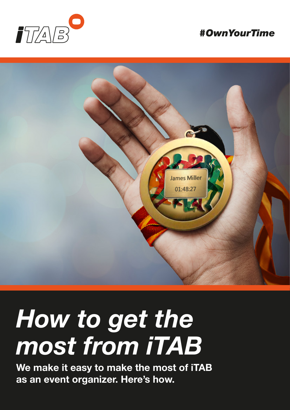

### *#OwnYourTime*



# *How to get the most from iTAB*

**We make it easy to make the most of iTAB as an event organizer. Here's how.**